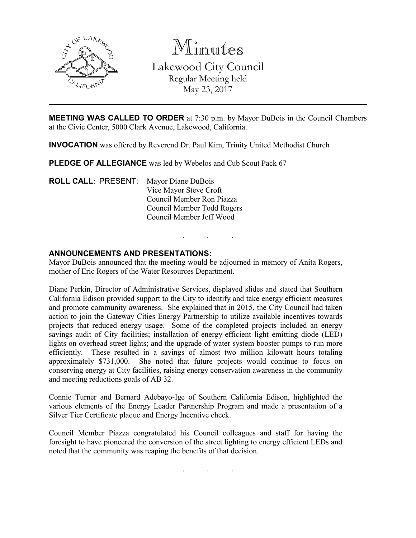

Minutes

Lakewood City Council Regular Meeting held May 23, 2017

**MEETING WAS CALLED TO ORDER** at 7:30 p.m. by Mayor DuBois in the Council Chambers at the Civic Center, 5000 Clark Avenue, Lakewood, California.

INVOCATION was offered by Reverend Dr. Paul Kim, Trinity United Methodist Church

PLEDGE OF ALLEGIANCE was led by Webelos and Cub Scout Pack 67

ROLL CALL: PRESENT: Mayor Diane DuBois Vice Mayor Steve Croft Council Member Ron Piazza Council Member Todd Rogers Council Member Jeff Wood

### ANNOUNCEMENTS AND PRESENTATIONS:

Mayor DuBois announced that the meeting would be adjourned in memory of Anita Rogers, mother of Eric Rogers of the Water Resources Department.

. . .

Diane Perkin, Director of Administrative Services, displayed slides and stated that Southern California Edison provided support to the City to identify and take energy efficient measures and promote community awareness. She explained that in 2015, the City Council had taken action to join the Gateway Cities Energy Partnership to utilize available incentives towards projects that reduced energy usage. Some of the completed projects included an energy savings audit of City facilities; installation of energy-efficient light emitting diode (LED) lights on overhead street lights; and the upgrade of water system booster pumps to run more efficiently. These resulted in a savings of almost two million kilowatt hours totaling approximately \$731,000. She noted that future projects would continue to focus on conserving energy at City facilities, raising energy conservation awareness in the community and meeting reductions goals of AB 32.

Connie Turner and Bernard Adebayo-Ige of Southern California Edison, highlighted the various elements of the Energy Leader Partnership Program and made a presentation of a Silver Tier Certificate plaque and Energy Incentive check.

Council Member Piazza congratulated his Council colleagues and staff for having the foresight to have pioneered the conversion of the street lighting to energy efficient LEDs and noted that the community was reaping the benefits of that decision.

. . .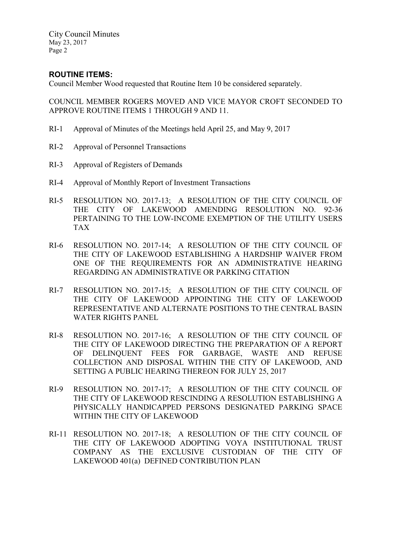## ROUTINE ITEMS:

Council Member Wood requested that Routine Item 10 be considered separately.

COUNCIL MEMBER ROGERS MOVED AND VICE MAYOR CROFT SECONDED TO APPROVE ROUTINE ITEMS 1 THROUGH 9 AND 11.

- RI-1 Approval of Minutes of the Meetings held April 25, and May 9, 2017
- RI-2 Approval of Personnel Transactions
- RI-3 Approval of Registers of Demands
- RI-4 Approval of Monthly Report of Investment Transactions
- RI-5 RESOLUTION NO. 2017-13; A RESOLUTION OF THE CITY COUNCIL OF THE CITY OF LAKEWOOD AMENDING RESOLUTION NO. 92-36 PERTAINING TO THE LOW-INCOME EXEMPTION OF THE UTILITY USERS TAX
- RI-6 RESOLUTION NO. 2017-14; A RESOLUTION OF THE CITY COUNCIL OF THE CITY OF LAKEWOOD ESTABLISHING A HARDSHIP WAIVER FROM ONE OF THE REQUIREMENTS FOR AN ADMINISTRATIVE HEARING REGARDING AN ADMINISTRATIVE OR PARKING CITATION
- RI-7 RESOLUTION NO. 2017-15; A RESOLUTION OF THE CITY COUNCIL OF THE CITY OF LAKEWOOD APPOINTING THE CITY OF LAKEWOOD REPRESENTATIVE AND ALTERNATE POSITIONS TO THE CENTRAL BASIN WATER RIGHTS PANEL
- RI-8 RESOLUTION NO. 2017-16; A RESOLUTION OF THE CITY COUNCIL OF THE CITY OF LAKEWOOD DIRECTING THE PREPARATION OF A REPORT OF DELINQUENT FEES FOR GARBAGE, WASTE AND REFUSE COLLECTION AND DISPOSAL WITHIN THE CITY OF LAKEWOOD, AND SETTING A PUBLIC HEARING THEREON FOR JULY 25, 2017
- RI-9 RESOLUTION NO. 2017-17; A RESOLUTION OF THE CITY COUNCIL OF THE CITY OF LAKEWOOD RESCINDING A RESOLUTION ESTABLISHING A PHYSICALLY HANDICAPPED PERSONS DESIGNATED PARKING SPACE WITHIN THE CITY OF LAKEWOOD
- RI-11 RESOLUTION NO. 2017-18; A RESOLUTION OF THE CITY COUNCIL OF THE CITY OF LAKEWOOD ADOPTING VOYA INSTITUTIONAL TRUST COMPANY AS THE EXCLUSIVE CUSTODIAN OF THE CITY OF LAKEWOOD 401(a) DEFINED CONTRIBUTION PLAN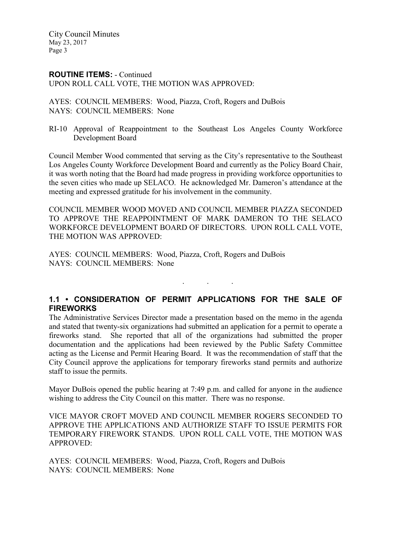#### ROUTINE ITEMS: - Continued UPON ROLL CALL VOTE, THE MOTION WAS APPROVED:

AYES: COUNCIL MEMBERS: Wood, Piazza, Croft, Rogers and DuBois NAYS: COUNCIL MEMBERS: None

RI-10 Approval of Reappointment to the Southeast Los Angeles County Workforce Development Board

Council Member Wood commented that serving as the City's representative to the Southeast Los Angeles County Workforce Development Board and currently as the Policy Board Chair, it was worth noting that the Board had made progress in providing workforce opportunities to the seven cities who made up SELACO. He acknowledged Mr. Dameron's attendance at the meeting and expressed gratitude for his involvement in the community.

COUNCIL MEMBER WOOD MOVED AND COUNCIL MEMBER PIAZZA SECONDED TO APPROVE THE REAPPOINTMENT OF MARK DAMERON TO THE SELACO WORKFORCE DEVELOPMENT BOARD OF DIRECTORS. UPON ROLL CALL VOTE, THE MOTION WAS APPROVED:

AYES: COUNCIL MEMBERS: Wood, Piazza, Croft, Rogers and DuBois NAYS: COUNCIL MEMBERS: None

# 1.1 • CONSIDERATION OF PERMIT APPLICATIONS FOR THE SALE OF **FIREWORKS**

. . .

The Administrative Services Director made a presentation based on the memo in the agenda and stated that twenty-six organizations had submitted an application for a permit to operate a fireworks stand. She reported that all of the organizations had submitted the proper documentation and the applications had been reviewed by the Public Safety Committee acting as the License and Permit Hearing Board. It was the recommendation of staff that the City Council approve the applications for temporary fireworks stand permits and authorize staff to issue the permits.

Mayor DuBois opened the public hearing at 7:49 p.m. and called for anyone in the audience wishing to address the City Council on this matter. There was no response.

VICE MAYOR CROFT MOVED AND COUNCIL MEMBER ROGERS SECONDED TO APPROVE THE APPLICATIONS AND AUTHORIZE STAFF TO ISSUE PERMITS FOR TEMPORARY FIREWORK STANDS. UPON ROLL CALL VOTE, THE MOTION WAS APPROVED:

AYES: COUNCIL MEMBERS: Wood, Piazza, Croft, Rogers and DuBois NAYS: COUNCIL MEMBERS: None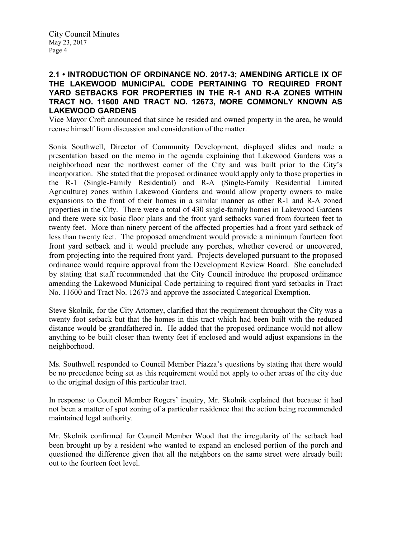### 2.1 • INTRODUCTION OF ORDINANCE NO. 2017-3; AMENDING ARTICLE IX OF THE LAKEWOOD MUNICIPAL CODE PERTAINING TO REQUIRED FRONT YARD SETBACKS FOR PROPERTIES IN THE R-1 AND R-A ZONES WITHIN TRACT NO. 11600 AND TRACT NO. 12673, MORE COMMONLY KNOWN AS LAKEWOOD GARDENS

Vice Mayor Croft announced that since he resided and owned property in the area, he would recuse himself from discussion and consideration of the matter.

Sonia Southwell, Director of Community Development, displayed slides and made a presentation based on the memo in the agenda explaining that Lakewood Gardens was a neighborhood near the northwest corner of the City and was built prior to the City's incorporation. She stated that the proposed ordinance would apply only to those properties in the R-1 (Single-Family Residential) and R-A (Single-Family Residential Limited Agriculture) zones within Lakewood Gardens and would allow property owners to make expansions to the front of their homes in a similar manner as other R-1 and R-A zoned properties in the City. There were a total of 430 single-family homes in Lakewood Gardens and there were six basic floor plans and the front yard setbacks varied from fourteen feet to twenty feet. More than ninety percent of the affected properties had a front yard setback of less than twenty feet. The proposed amendment would provide a minimum fourteen foot front yard setback and it would preclude any porches, whether covered or uncovered, from projecting into the required front yard. Projects developed pursuant to the proposed ordinance would require approval from the Development Review Board. She concluded by stating that staff recommended that the City Council introduce the proposed ordinance amending the Lakewood Municipal Code pertaining to required front yard setbacks in Tract No. 11600 and Tract No. 12673 and approve the associated Categorical Exemption.

Steve Skolnik, for the City Attorney, clarified that the requirement throughout the City was a twenty foot setback but that the homes in this tract which had been built with the reduced distance would be grandfathered in. He added that the proposed ordinance would not allow anything to be built closer than twenty feet if enclosed and would adjust expansions in the neighborhood.

Ms. Southwell responded to Council Member Piazza's questions by stating that there would be no precedence being set as this requirement would not apply to other areas of the city due to the original design of this particular tract.

In response to Council Member Rogers' inquiry, Mr. Skolnik explained that because it had not been a matter of spot zoning of a particular residence that the action being recommended maintained legal authority.

Mr. Skolnik confirmed for Council Member Wood that the irregularity of the setback had been brought up by a resident who wanted to expand an enclosed portion of the porch and questioned the difference given that all the neighbors on the same street were already built out to the fourteen foot level.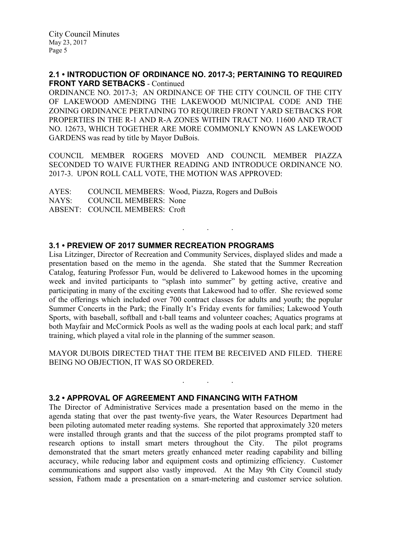### 2.1 • INTRODUCTION OF ORDINANCE NO. 2017-3; PERTAINING TO REQUIRED FRONT YARD SETBACKS - Continued

ORDINANCE NO. 2017-3; AN ORDINANCE OF THE CITY COUNCIL OF THE CITY OF LAKEWOOD AMENDING THE LAKEWOOD MUNICIPAL CODE AND THE ZONING ORDINANCE PERTAINING TO REQUIRED FRONT YARD SETBACKS FOR PROPERTIES IN THE R-1 AND R-A ZONES WITHIN TRACT NO. 11600 AND TRACT NO. 12673, WHICH TOGETHER ARE MORE COMMONLY KNOWN AS LAKEWOOD GARDENS was read by title by Mayor DuBois.

COUNCIL MEMBER ROGERS MOVED AND COUNCIL MEMBER PIAZZA SECONDED TO WAIVE FURTHER READING AND INTRODUCE ORDINANCE NO. 2017-3. UPON ROLL CALL VOTE, THE MOTION WAS APPROVED:

. . .

AYES: COUNCIL MEMBERS: Wood, Piazza, Rogers and DuBois NAYS: COUNCIL MEMBERS: None ABSENT: COUNCIL MEMBERS: Croft

### 3.1 • PREVIEW OF 2017 SUMMER RECREATION PROGRAMS

Lisa Litzinger, Director of Recreation and Community Services, displayed slides and made a presentation based on the memo in the agenda. She stated that the Summer Recreation Catalog, featuring Professor Fun, would be delivered to Lakewood homes in the upcoming week and invited participants to "splash into summer" by getting active, creative and participating in many of the exciting events that Lakewood had to offer. She reviewed some of the offerings which included over 700 contract classes for adults and youth; the popular Summer Concerts in the Park; the Finally It's Friday events for families; Lakewood Youth Sports, with baseball, softball and t-ball teams and volunteer coaches; Aquatics programs at both Mayfair and McCormick Pools as well as the wading pools at each local park; and staff training, which played a vital role in the planning of the summer season.

MAYOR DUBOIS DIRECTED THAT THE ITEM BE RECEIVED AND FILED. THERE BEING NO OBJECTION, IT WAS SO ORDERED.

. . .

### 3.2 • APPROVAL OF AGREEMENT AND FINANCING WITH FATHOM

The Director of Administrative Services made a presentation based on the memo in the agenda stating that over the past twenty-five years, the Water Resources Department had been piloting automated meter reading systems. She reported that approximately 320 meters were installed through grants and that the success of the pilot programs prompted staff to research options to install smart meters throughout the City. The pilot programs demonstrated that the smart meters greatly enhanced meter reading capability and billing accuracy, while reducing labor and equipment costs and optimizing efficiency. Customer communications and support also vastly improved. At the May 9th City Council study session, Fathom made a presentation on a smart-metering and customer service solution.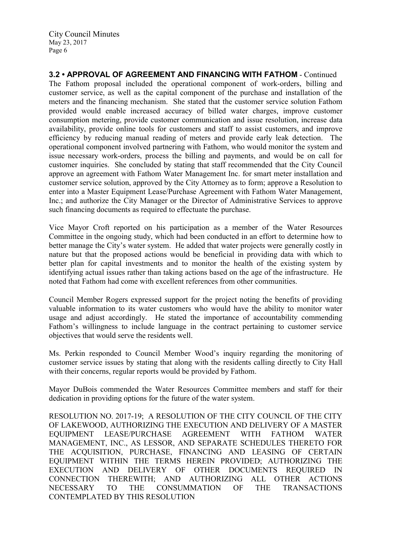3.2 • APPROVAL OF AGREEMENT AND FINANCING WITH FATHOM - Continued The Fathom proposal included the operational component of work-orders, billing and customer service, as well as the capital component of the purchase and installation of the meters and the financing mechanism. She stated that the customer service solution Fathom provided would enable increased accuracy of billed water charges, improve customer consumption metering, provide customer communication and issue resolution, increase data availability, provide online tools for customers and staff to assist customers, and improve efficiency by reducing manual reading of meters and provide early leak detection. The operational component involved partnering with Fathom, who would monitor the system and issue necessary work-orders, process the billing and payments, and would be on call for customer inquiries. She concluded by stating that staff recommended that the City Council approve an agreement with Fathom Water Management Inc. for smart meter installation and customer service solution, approved by the City Attorney as to form; approve a Resolution to enter into a Master Equipment Lease/Purchase Agreement with Fathom Water Management, Inc.; and authorize the City Manager or the Director of Administrative Services to approve such financing documents as required to effectuate the purchase.

Vice Mayor Croft reported on his participation as a member of the Water Resources Committee in the ongoing study, which had been conducted in an effort to determine how to better manage the City's water system. He added that water projects were generally costly in nature but that the proposed actions would be beneficial in providing data with which to better plan for capital investments and to monitor the health of the existing system by identifying actual issues rather than taking actions based on the age of the infrastructure. He noted that Fathom had come with excellent references from other communities.

Council Member Rogers expressed support for the project noting the benefits of providing valuable information to its water customers who would have the ability to monitor water usage and adjust accordingly. He stated the importance of accountability commending Fathom's willingness to include language in the contract pertaining to customer service objectives that would serve the residents well.

Ms. Perkin responded to Council Member Wood's inquiry regarding the monitoring of customer service issues by stating that along with the residents calling directly to City Hall with their concerns, regular reports would be provided by Fathom.

Mayor DuBois commended the Water Resources Committee members and staff for their dedication in providing options for the future of the water system.

RESOLUTION NO. 2017-19; A RESOLUTION OF THE CITY COUNCIL OF THE CITY OF LAKEWOOD, AUTHORIZING THE EXECUTION AND DELIVERY OF A MASTER EQUIPMENT LEASE/PURCHASE AGREEMENT WITH FATHOM WATER MANAGEMENT, INC., AS LESSOR, AND SEPARATE SCHEDULES THERETO FOR THE ACQUISITION, PURCHASE, FINANCING AND LEASING OF CERTAIN EQUIPMENT WITHIN THE TERMS HEREIN PROVIDED; AUTHORIZING THE EXECUTION AND DELIVERY OF OTHER DOCUMENTS REQUIRED IN CONNECTION THEREWITH; AND AUTHORIZING ALL OTHER ACTIONS NECESSARY TO THE CONSUMMATION OF THE TRANSACTIONS CONTEMPLATED BY THIS RESOLUTION